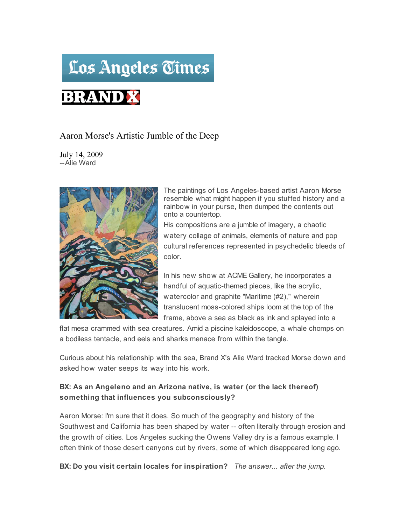# Los Angeles Times

## **BRAND X**

### Aaron Morse's Artistic Jumble of the Deep

July 14, 2009 --Alie Ward



The paintings of Los Angeles-based artist Aaron Morse resemble what might happen if you stuffed history and a rainbow in your purse, then dumped the contents out onto a countertop.

His compositions are a jumble of imagery, a chaotic watery collage of animals, elements of nature and pop cultural references represented in psychedelic bleeds of color.

In his new show at ACME Gallery, he incorporates a handful of aquatic-themed pieces, like the acrylic, watercolor and graphite "Maritime (#2)," wherein translucent moss-colored ships loom at the top of the frame, above a sea as black as ink and splayed into a

flat mesa crammed with sea creatures. Amid a piscine kaleidoscope, a whale chomps on a bodiless tentacle, and eels and sharks menace from within the tangle.

Curious about his relationship with the sea, Brand X's Alie Ward tracked Morse down and asked how water seeps its way into his work.

#### **BX: As an Angeleno and an Arizona native, is water (or the lack thereof) something that influences you subconsciously?**

Aaron Morse: I'm sure that it does. So much of the geography and history of the Southwest and California has been shaped by water -- often literally through erosion and the growth of cities. Los Angeles sucking the Owens Valley dry is a famous example. I often think of those desert canyons cut by rivers, some of which disappeared long ago.

**BX: Do you visit certain locales for inspiration?** *The answer... after the jump.*